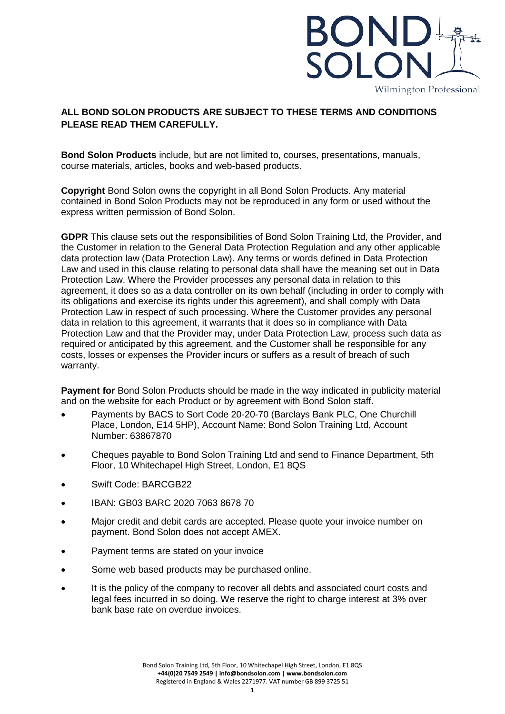

## **ALL BOND SOLON PRODUCTS ARE SUBJECT TO THESE TERMS AND CONDITIONS PLEASE READ THEM CAREFULLY.**

**Bond Solon Products** include, but are not limited to, courses, presentations, manuals, course materials, articles, books and web-based products.

**Copyright** Bond Solon owns the copyright in all Bond Solon Products. Any material contained in Bond Solon Products may not be reproduced in any form or used without the express written permission of Bond Solon.

**GDPR** This clause sets out the responsibilities of Bond Solon Training Ltd, the Provider, and the Customer in relation to the General Data Protection Regulation and any other applicable data protection law (Data Protection Law). Any terms or words defined in Data Protection Law and used in this clause relating to personal data shall have the meaning set out in Data Protection Law. Where the Provider processes any personal data in relation to this agreement, it does so as a data controller on its own behalf (including in order to comply with its obligations and exercise its rights under this agreement), and shall comply with Data Protection Law in respect of such processing. Where the Customer provides any personal data in relation to this agreement, it warrants that it does so in compliance with Data Protection Law and that the Provider may, under Data Protection Law, process such data as required or anticipated by this agreement, and the Customer shall be responsible for any costs, losses or expenses the Provider incurs or suffers as a result of breach of such warranty.

**Payment for Bond Solon Products should be made in the way indicated in publicity material** and on the website for each Product or by agreement with Bond Solon staff.

- Payments by BACS to Sort Code 20-20-70 (Barclays Bank PLC, One Churchill Place, London, E14 5HP), Account Name: Bond Solon Training Ltd, Account Number: 63867870
- Cheques payable to Bond Solon Training Ltd and send to Finance Department, 5th Floor, 10 Whitechapel High Street, London, E1 8QS
- Swift Code: BARCGB22
- IBAN: GB03 BARC 2020 7063 8678 70
- Major credit and debit cards are accepted. Please quote your invoice number on payment. Bond Solon does not accept AMEX.
- Payment terms are stated on your invoice
- Some web based products may be purchased online.
- It is the policy of the company to recover all debts and associated court costs and legal fees incurred in so doing. We reserve the right to charge interest at 3% over bank base rate on overdue invoices.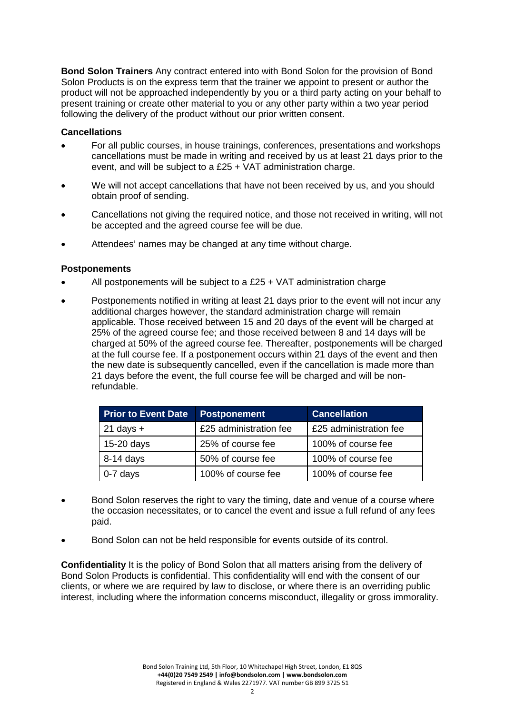**Bond Solon Trainers** Any contract entered into with Bond Solon for the provision of Bond Solon Products is on the express term that the trainer we appoint to present or author the product will not be approached independently by you or a third party acting on your behalf to present training or create other material to you or any other party within a two year period following the delivery of the product without our prior written consent.

## **Cancellations**

- For all public courses, in house trainings, conferences, presentations and workshops cancellations must be made in writing and received by us at least 21 days prior to the event, and will be subject to a £25 + VAT administration charge.
- We will not accept cancellations that have not been received by us, and you should obtain proof of sending.
- Cancellations not giving the required notice, and those not received in writing, will not be accepted and the agreed course fee will be due.
- Attendees' names may be changed at any time without charge.

## **Postponements**

- All postponements will be subject to a £25 + VAT administration charge
- Postponements notified in writing at least 21 days prior to the event will not incur any additional charges however, the standard administration charge will remain applicable. Those received between 15 and 20 days of the event will be charged at 25% of the agreed course fee; and those received between 8 and 14 days will be charged at 50% of the agreed course fee. Thereafter, postponements will be charged at the full course fee. If a postponement occurs within 21 days of the event and then the new date is subsequently cancelled, even if the cancellation is made more than 21 days before the event, the full course fee will be charged and will be nonrefundable.

| <b>Prior to Event Date</b> | <b>Postponement</b>    | <b>Cancellation</b>    |
|----------------------------|------------------------|------------------------|
| $21$ days $+$              | £25 administration fee | £25 administration fee |
| 15-20 days                 | 25% of course fee      | 100% of course fee     |
| 8-14 days                  | 50% of course fee      | 100% of course fee     |
| 0-7 days                   | 100% of course fee     | 100% of course fee     |

- Bond Solon reserves the right to vary the timing, date and venue of a course where the occasion necessitates, or to cancel the event and issue a full refund of any fees paid.
- Bond Solon can not be held responsible for events outside of its control.

**Confidentiality** It is the policy of Bond Solon that all matters arising from the delivery of Bond Solon Products is confidential. This confidentiality will end with the consent of our clients, or where we are required by law to disclose, or where there is an overriding public interest, including where the information concerns misconduct, illegality or gross immorality.